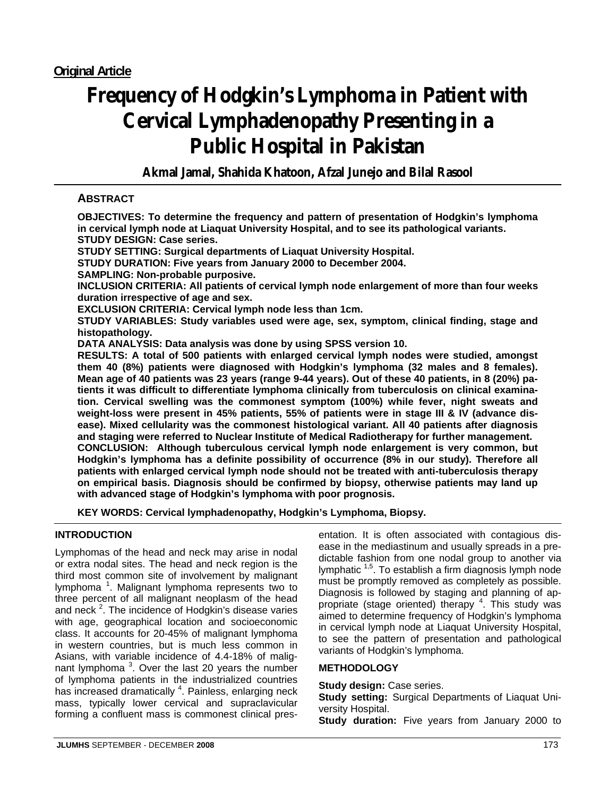# **Frequency of Hodgkin's Lymphoma in Patient with Cervical Lymphadenopathy Presenting in a Public Hospital in Pakistan**

**Akmal Jamal, Shahida Khatoon, Afzal Junejo and Bilal Rasool**

# **ABSTRACT**

**OBJECTIVES: To determine the frequency and pattern of presentation of Hodgkin's lymphoma in cervical lymph node at Liaquat University Hospital, and to see its pathological variants. STUDY DESIGN: Case series.** 

**STUDY SETTING: Surgical departments of Liaquat University Hospital.** 

**STUDY DURATION: Five years from January 2000 to December 2004.** 

**SAMPLING: Non-probable purposive.** 

**INCLUSION CRITERIA: All patients of cervical lymph node enlargement of more than four weeks duration irrespective of age and sex.** 

**EXCLUSION CRITERIA: Cervical lymph node less than 1cm.** 

**STUDY VARIABLES: Study variables used were age, sex, symptom, clinical finding, stage and histopathology.** 

**DATA ANALYSIS: Data analysis was done by using SPSS version 10.** 

**RESULTS: A total of 500 patients with enlarged cervical lymph nodes were studied, amongst them 40 (8%) patients were diagnosed with Hodgkin's lymphoma (32 males and 8 females). Mean age of 40 patients was 23 years (range 9-44 years). Out of these 40 patients, in 8 (20%) patients it was difficult to differentiate lymphoma clinically from tuberculosis on clinical examination. Cervical swelling was the commonest symptom (100%) while fever, night sweats and weight-loss were present in 45% patients, 55% of patients were in stage III & IV (advance disease). Mixed cellularity was the commonest histological variant. All 40 patients after diagnosis and staging were referred to Nuclear Institute of Medical Radiotherapy for further management. CONCLUSION: Although tuberculous cervical lymph node enlargement is very common, but Hodgkin's lymphoma has a definite possibility of occurrence (8% in our study). Therefore all patients with enlarged cervical lymph node should not be treated with anti-tuberculosis therapy on empirical basis. Diagnosis should be confirmed by biopsy, otherwise patients may land up with advanced stage of Hodgkin's lymphoma with poor prognosis.** 

**KEY WORDS: Cervical lymphadenopathy, Hodgkin's Lymphoma, Biopsy.**

## **INTRODUCTION**

Lymphomas of the head and neck may arise in nodal or extra nodal sites. The head and neck region is the third most common site of involvement by malignant lymphoma<sup>1</sup>. Malignant lymphoma represents two to three percent of all malignant neoplasm of the head and neck  $2$ . The incidence of Hodgkin's disease varies with age, geographical location and socioeconomic class. It accounts for 20-45% of malignant lymphoma in western countries, but is much less common in Asians, with variable incidence of 4.4-18% of malignant lymphoma<sup>3</sup>. Over the last 20 years the number of lymphoma patients in the industrialized countries has increased dramatically <sup>4</sup>. Painless, enlarging neck mass, typically lower cervical and supraclavicular forming a confluent mass is commonest clinical presentation. It is often associated with contagious disease in the mediastinum and usually spreads in a predictable fashion from one nodal group to another via lymphatic <sup>1,5</sup>. To establish a firm diagnosis lymph node must be promptly removed as completely as possible. Diagnosis is followed by staging and planning of appropriate (stage oriented) therapy <sup>4</sup>. This study was aimed to determine frequency of Hodgkin's lymphoma in cervical lymph node at Liaquat University Hospital, to see the pattern of presentation and pathological variants of Hodgkin's lymphoma.

## **METHODOLOGY**

**Study design: Case series.** 

**Study setting:** Surgical Departments of Liaquat University Hospital.

**Study duration:** Five years from January 2000 to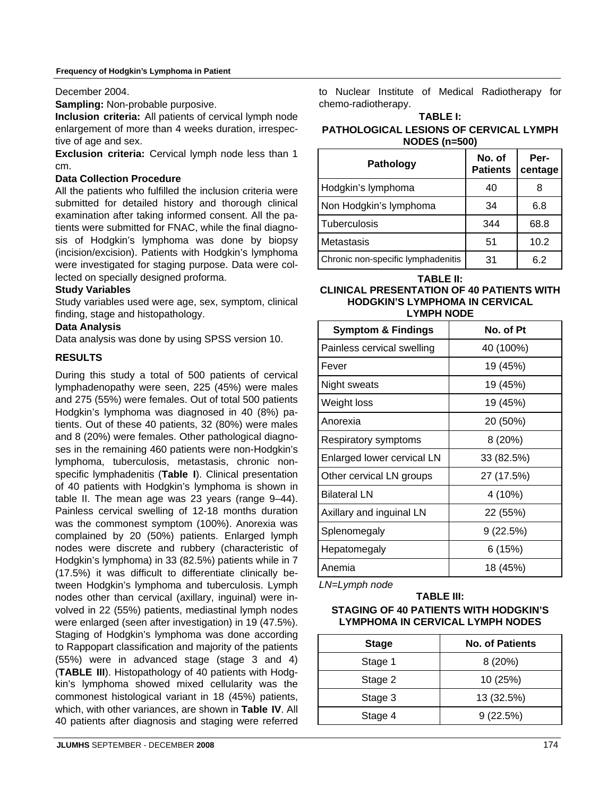#### **Frequency of Hodgkin's Lymphoma in Patient**

#### December 2004.

**Sampling:** Non-probable purposive.

**Inclusion criteria:** All patients of cervical lymph node enlargement of more than 4 weeks duration, irrespective of age and sex.

**Exclusion criteria:** Cervical lymph node less than 1 cm.

## **Data Collection Procedure**

All the patients who fulfilled the inclusion criteria were submitted for detailed history and thorough clinical examination after taking informed consent. All the patients were submitted for FNAC, while the final diagnosis of Hodgkin's lymphoma was done by biopsy (incision/excision). Patients with Hodgkin's lymphoma were investigated for staging purpose. Data were collected on specially designed proforma.

## **Study Variables**

Study variables used were age, sex, symptom, clinical finding, stage and histopathology.

## **Data Analysis**

Data analysis was done by using SPSS version 10.

## **RESULTS**

During this study a total of 500 patients of cervical lymphadenopathy were seen, 225 (45%) were males and 275 (55%) were females. Out of total 500 patients Hodgkin's lymphoma was diagnosed in 40 (8%) patients. Out of these 40 patients, 32 (80%) were males and 8 (20%) were females. Other pathological diagnoses in the remaining 460 patients were non-Hodgkin's lymphoma, tuberculosis, metastasis, chronic nonspecific lymphadenitis (**Table I**). Clinical presentation of 40 patients with Hodgkin's lymphoma is shown in table II. The mean age was 23 years (range 9–44). Painless cervical swelling of 12-18 months duration was the commonest symptom (100%). Anorexia was complained by 20 (50%) patients. Enlarged lymph nodes were discrete and rubbery (characteristic of Hodgkin's lymphoma) in 33 (82.5%) patients while in 7 (17.5%) it was difficult to differentiate clinically between Hodgkin's lymphoma and tuberculosis. Lymph nodes other than cervical (axillary, inguinal) were involved in 22 (55%) patients, mediastinal lymph nodes were enlarged (seen after investigation) in 19 (47.5%). Staging of Hodgkin's lymphoma was done according to Rappopart classification and majority of the patients (55%) were in advanced stage (stage 3 and 4) (**TABLE III**). Histopathology of 40 patients with Hodgkin's lymphoma showed mixed cellularity was the commonest histological variant in 18 (45%) patients, which, with other variances, are shown in **Table IV**. All 40 patients after diagnosis and staging were referred

to Nuclear Institute of Medical Radiotherapy for chemo-radiotherapy.

#### **TABLE I:**

## **PATHOLOGICAL LESIONS OF CERVICAL LYMPH NODES (n=500)**

| Pathology                          | No. of<br><b>Patients</b> | Per-<br>centage |
|------------------------------------|---------------------------|-----------------|
| Hodgkin's lymphoma                 | 40                        |                 |
| Non Hodgkin's lymphoma             | 34                        | 6.8             |
| Tuberculosis                       | 344                       | 68.8            |
| Metastasis                         | 51                        | 10.2            |
| Chronic non-specific lymphadenitis | 31                        | 6.2             |

**TABLE II:** 

## **CLINICAL PRESENTATION OF 40 PATIENTS WITH HODGKIN'S LYMPHOMA IN CERVICAL LYMPH NODE**

| <b>Symptom &amp; Findings</b> | No. of Pt  |  |
|-------------------------------|------------|--|
| Painless cervical swelling    | 40 (100%)  |  |
| Fever                         | 19 (45%)   |  |
| Night sweats                  | 19 (45%)   |  |
| Weight loss                   | 19 (45%)   |  |
| Anorexia                      | 20 (50%)   |  |
| Respiratory symptoms          | 8 (20%)    |  |
| Enlarged lower cervical LN    | 33 (82.5%) |  |
| Other cervical LN groups      | 27 (17.5%) |  |
| <b>Bilateral LN</b>           | 4 (10%)    |  |
| Axillary and inguinal LN      | 22 (55%)   |  |
| Splenomegaly                  | 9(22.5%)   |  |
| Hepatomegaly                  | 6(15%)     |  |
| Anemia                        | 18 (45%)   |  |

*LN=Lymph node*

## **TABLE III: STAGING OF 40 PATIENTS WITH HODGKIN'S LYMPHOMA IN CERVICAL LYMPH NODES**

| <b>Stage</b> | <b>No. of Patients</b> |
|--------------|------------------------|
| Stage 1      | 8(20%)                 |
| Stage 2      | 10 (25%)               |
| Stage 3      | 13 (32.5%)             |
| Stage 4      | 9(22.5%)               |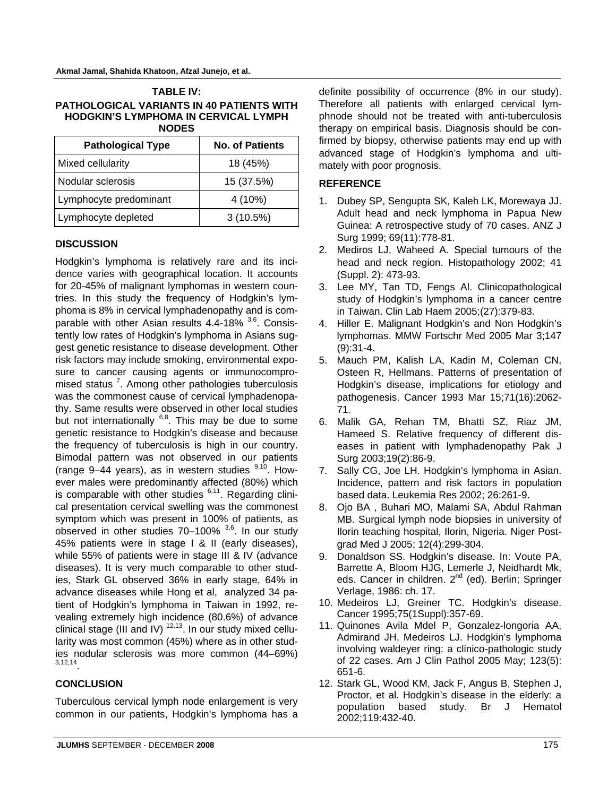| <b>TABLE IV:</b>                          |  |  |
|-------------------------------------------|--|--|
| PATHOLOGICAL VARIANTS IN 40 PATIENTS WITH |  |  |
| HODGKIN'S LYMPHOMA IN CERVICAL LYMPH      |  |  |
| <b>NODES</b>                              |  |  |

| <b>Pathological Type</b> | <b>No. of Patients</b> |  |
|--------------------------|------------------------|--|
| Mixed cellularity        | 18 (45%)               |  |
| l Nodular sclerosis      | 15 (37.5%)             |  |
| Lymphocyte predominant   | 4 (10%)                |  |
| Lymphocyte depleted      | 3(10.5%)               |  |

## **DISCUSSION**

Hodgkin's lymphoma is relatively rare and its incidence varies with geographical location. It accounts for 20-45% of malignant lymphomas in western countries. In this study the frequency of Hodgkin's lymphoma is 8% in cervical lymphadenopathy and is comparable with other Asian results  $4.4$ -18%  $3.6$ . Consistently low rates of Hodgkin's lymphoma in Asians suggest genetic resistance to disease development. Other risk factors may include smoking, environmental exposure to cancer causing agents or immunocompromised status<sup>7</sup>. Among other pathologies tuberculosis was the commonest cause of cervical lymphadenopathy. Same results were observed in other local studies but not internationally  $6,8$ . This may be due to some genetic resistance to Hodgkin's disease and because the frequency of tuberculosis is high in our country. Bimodal pattern was not observed in our patients (range 9–44 years), as in western studies  $9,10$ . However males were predominantly affected (80%) which is comparable with other studies  $6,11$ . Regarding clinical presentation cervical swelling was the commonest symptom which was present in 100% of patients, as observed in other studies  $70-100\%$   $^{3,6}$ . In our study 45% patients were in stage I & II (early diseases), while 55% of patients were in stage III & IV (advance diseases). It is very much comparable to other studies, Stark GL observed 36% in early stage, 64% in advance diseases while Hong et al, analyzed 34 patient of Hodgkin's lymphoma in Taiwan in 1992, revealing extremely high incidence (80.6%) of advance clinical stage (III and IV)  $12,13$ . In our study mixed cellularity was most common (45%) where as in other studies nodular sclerosis was more common (44–69%) 3,12,14.

## **CONCLUSION**

Tuberculous cervical lymph node enlargement is very common in our patients, Hodgkin's lymphoma has a definite possibility of occurrence (8% in our study). Therefore all patients with enlarged cervical lymphnode should not be treated with anti-tuberculosis therapy on empirical basis. Diagnosis should be confirmed by biopsy, otherwise patients may end up with advanced stage of Hodgkin's lymphoma and ultimately with poor prognosis.

## **REFERENCE**

- 1. Dubey SP, Sengupta SK, Kaleh LK, Morewaya JJ. Adult head and neck lymphoma in Papua New Guinea: A retrospective study of 70 cases. ANZ J Surg 1999; 69(11):778-81.
- 2. Mediros LJ, Waheed A. Special tumours of the head and neck region. Histopathology 2002; 41 (Suppl. 2): 473-93.
- 3. Lee MY, Tan TD, Fengs Al. Clinicopathological study of Hodgkin's lymphoma in a cancer centre in Taiwan. Clin Lab Haem 2005;(27):379-83.
- 4. Hiller E. Malignant Hodgkin's and Non Hodgkin's lymphomas. MMW Fortschr Med 2005 Mar 3;147 (9):31-4.
- 5. Mauch PM, Kalish LA, Kadin M, Coleman CN, Osteen R, Hellmans. Patterns of presentation of Hodgkin's disease, implications for etiology and pathogenesis. Cancer 1993 Mar 15;71(16):2062- 71.
- 6. Malik GA, Rehan TM, Bhatti SZ, Riaz JM, Hameed S. Relative frequency of different diseases in patient with lymphadenopathy Pak J Surg 2003;19(2):86-9.
- 7. Sally CG, Joe LH. Hodgkin's lymphoma in Asian. Incidence, pattern and risk factors in population based data. Leukemia Res 2002; 26:261-9.
- 8. Ojo BA , Buhari MO, Malami SA, Abdul Rahman MB. Surgical lymph node biopsies in university of Ilorin teaching hospital, Ilorin, Nigeria. Niger Postgrad Med J 2005; 12(4):299-304.
- 9. Donaldson SS. Hodgkin's disease. In: Voute PA, Barrette A, Bloom HJG, Lemerle J, Neidhardt Mk, eds. Cancer in children. 2<sup>nd</sup> (ed). Berlin; Springer Verlage, 1986: ch. 17.
- 10. Medeiros LJ, Greiner TC. Hodgkin's disease. Cancer 1995;75(1Suppl):357-69.
- 11. Quinones Avila Mdel P, Gonzalez-longoria AA, Admirand JH, Medeiros LJ. Hodgkin's lymphoma involving waldeyer ring: a clinico-pathologic study of 22 cases. Am J Clin Pathol 2005 May; 123(5): 651-6.
- 12. Stark GL, Wood KM, Jack F, Angus B, Stephen J, Proctor, et al. Hodgkin's disease in the elderly: a population based study. Br J Hematol 2002;119:432-40.